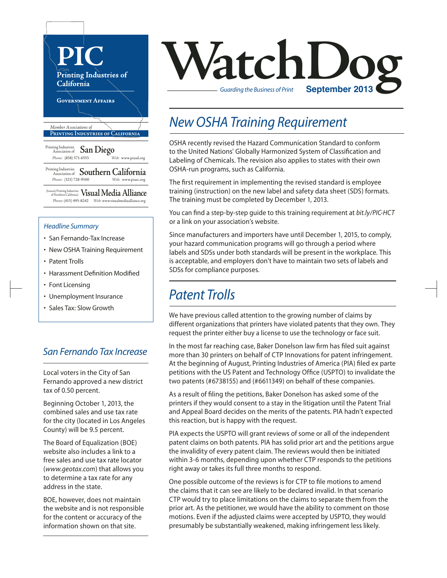

#### *Headline Summary*

- San Fernando-Tax Increase
- New OSHA Training Requirement
- Patent Trolls
- Harassment Definition Modified
- Font Licensing
- Unemployment Insurance
- Sales Tax: Slow Growth

### *San Fernando Tax Increase*

Local voters in the City of San Fernando approved a new district tax of 0.50 percent.

Beginning October 1, 2013, the combined sales and use tax rate for the city (located in Los Angeles County) will be 9.5 percent.

The Board of Equalization (BOE) website also includes a link to a free sales and use tax rate locator (*www.geotax.com*) that allows you to determine a tax rate for any address in the state.

BOE, however, does not maintain the website and is not responsible for the content or accuracy of the information shown on that site.



## *New OSHA Training Requirement*

OSHA recently revised the Hazard Communication Standard to conform to the United Nations' Globally Harmonized System of Classification and Labeling of Chemicals. The revision also applies to states with their own OSHA-run programs, such as California.

The first requirement in implementing the revised standard is employee training (instruction) on the new label and safety data sheet (SDS) formats. The training must be completed by December 1, 2013.

You can find a step-by-step guide to this training requirement at *bit.ly/PIC-HCT* or a link on your association's website.

Since manufacturers and importers have until December 1, 2015, to comply, your hazard communication programs will go through a period where labels and SDSs under both standards will be present in the workplace. This is acceptable, and employers don't have to maintain two sets of labels and SDSs for compliance purposes.

## *Patent Trolls*

We have previous called attention to the growing number of claims by different organizations that printers have violated patents that they own. They request the printer either buy a license to use the technology or face suit.

In the most far reaching case, Baker Donelson law firm has filed suit against more than 30 printers on behalf of CTP Innovations for patent infringement. At the beginning of August, Printing Industries of America (PIA) filed ex parte petitions with the US Patent and Technology Office (USPTO) to invalidate the two patents (#6738155) and (#6611349) on behalf of these companies.

As a result of filing the petitions, Baker Donelson has asked some of the printers if they would consent to a stay in the litigation until the Patent Trial and Appeal Board decides on the merits of the patents. PIA hadn't expected this reaction, but is happy with the request.

PIA expects the USPTO will grant reviews of some or all of the independent patent claims on both patents. PIA has solid prior art and the petitions argue the invalidity of every patent claim. The reviews would then be initiated within 3-6 months, depending upon whether CTP responds to the petitions right away or takes its full three months to respond.

One possible outcome of the reviews is for CTP to file motions to amend the claims that it can see are likely to be declared invalid. In that scenario CTP would try to place limitations on the claims to separate them from the prior art. As the petitioner, we would have the ability to comment on those motions. Even if the adjusted claims were accepted by USPTO, they would presumably be substantially weakened, making infringement less likely.